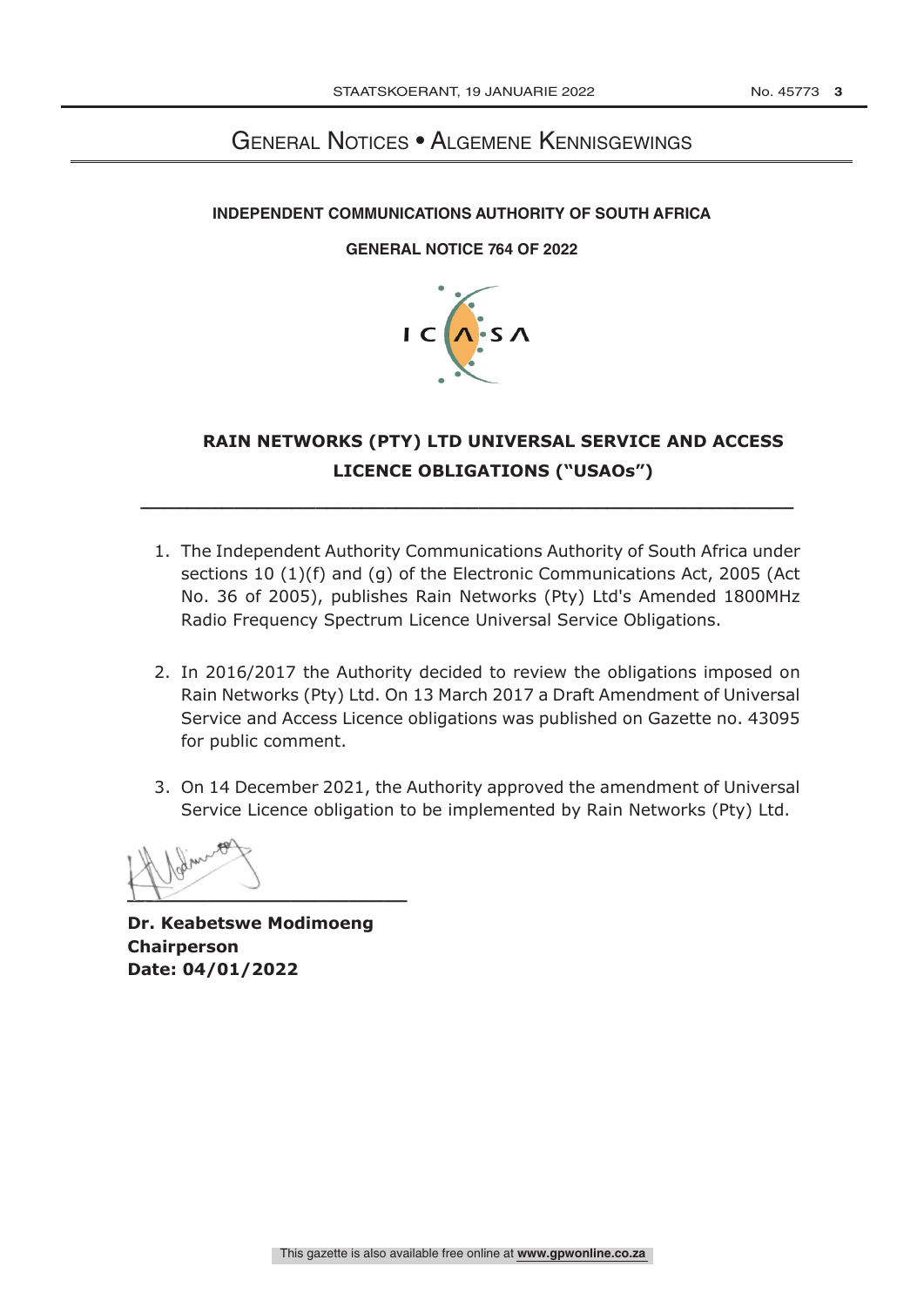## General Notices • Algemene Kennisgewings  **Independent communications and communications and communications and communications and communications**

### **INDEPENDENT COMMUNICATIONS AUTHORITY OF SOUTH AFRICA**

### **GENERAL NOTICE 764 OF 2022**



## **RAIN NETWORKS (PTY) LTD UNIVERSAL SERVICE AND ACCESS LICENCE OBLIGATIONS ("USAOs")**

1. The Independent Authority Communications Authority of South Africa under sections 10 (1)(f) and (g) of the Electronic Communications Act, 2005 (Act No. 36 of 2005), publishes Rain Networks (Pty) Ltd's Amended 1800MHz Radio Frequency Spectrum Licence Universal Service Obligations.

**\_\_\_\_\_\_\_\_\_\_\_\_\_\_\_\_\_\_\_\_\_\_\_\_\_\_\_\_\_\_\_\_\_\_\_\_\_\_\_\_\_\_\_\_\_\_\_\_\_\_\_\_\_\_\_\_**

- 2. In 2016/2017 the Authority decided to review the obligations imposed on Rain Networks (Pty) Ltd. On 13 March 2017 a Draft Amendment of Universal Service and Access Licence obligations was published on Gazette no. 43095 for public comment.
- 3. On 14 December 2021, the Authority approved the amendment of Universal Service Licence obligation to be implemented by Rain Networks (Pty) Ltd.



**Dr. Keabetswe Modimoeng Chairperson Date: 04/01/2022**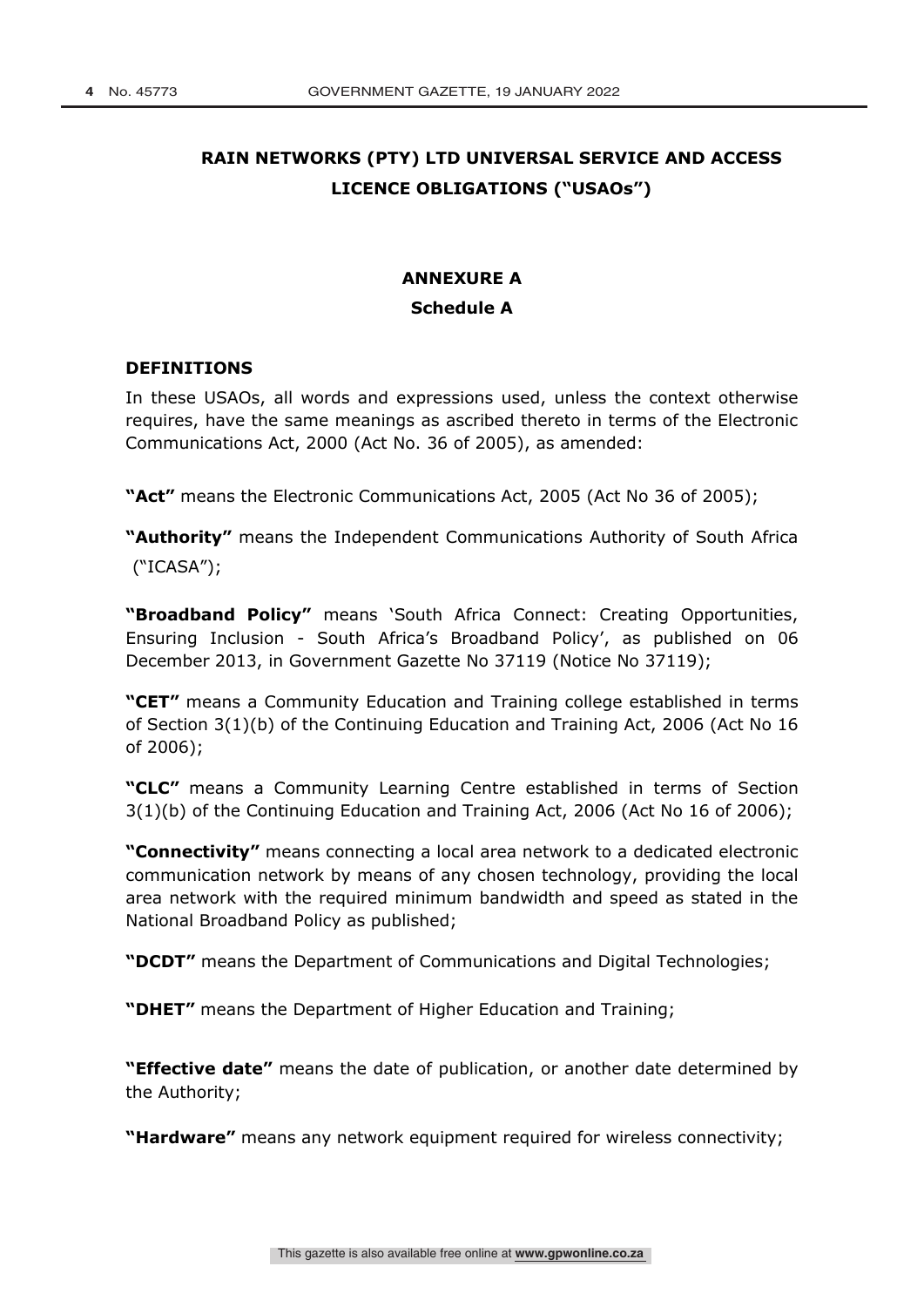## **RAIN NETWORKS (PTY) LTD UNIVERSAL SERVICE AND ACCESS LICENCE OBLIGATIONS ("USAOs")**

# **ANNEXURE A Schedule A**

#### **DEFINITIONS**

In these USAOs, all words and expressions used, unless the context otherwise requires, have the same meanings as ascribed thereto in terms of the Electronic Communications Act, 2000 (Act No. 36 of 2005), as amended:

**"Act"** means the Electronic Communications Act, 2005 (Act No 36 of 2005);

**"Authority"** means the Independent Communications Authority of South Africa

("ICASA");

**"Broadband Policy"** means 'South Africa Connect: Creating Opportunities, Ensuring Inclusion - South Africa's Broadband Policy', as published on 06 December 2013, in Government Gazette No 37119 (Notice No 37119);

**"CET"** means a Community Education and Training college established in terms of Section 3(1)(b) of the Continuing Education and Training Act, 2006 (Act No 16 of 2006);

**"CLC"** means a Community Learning Centre established in terms of Section 3(1)(b) of the Continuing Education and Training Act, 2006 (Act No 16 of 2006);

**"Connectivity"** means connecting a local area network to a dedicated electronic communication network by means of any chosen technology, providing the local area network with the required minimum bandwidth and speed as stated in the National Broadband Policy as published;

**"DCDT"** means the Department of Communications and Digital Technologies;

**"DHET"** means the Department of Higher Education and Training;

**"Effective date"** means the date of publication, or another date determined by the Authority;

**"Hardware"** means any network equipment required for wireless connectivity;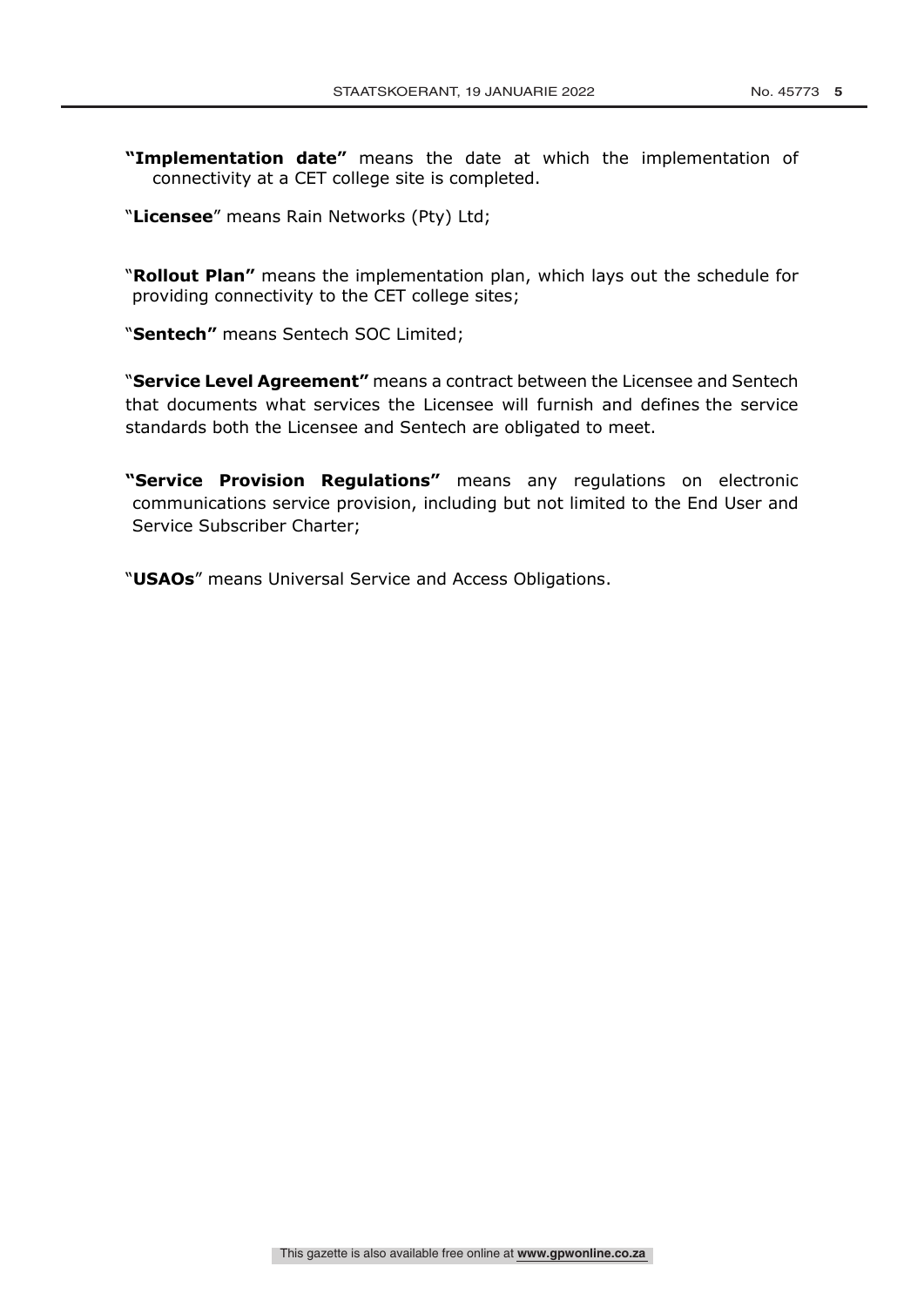- **"Implementation date"** means the date at which the implementation of connectivity at a CET college site is completed.
- "**Licensee**" means Rain Networks (Pty) Ltd;

"**Rollout Plan"** means the implementation plan, which lays out the schedule for providing connectivity to the CET college sites;

"**Sentech"** means Sentech SOC Limited;

"**Service Level Agreement"** means a contract between the Licensee and Sentech that documents what services the Licensee will furnish and defines the service standards both the Licensee and Sentech are obligated to meet.

**"Service Provision Regulations"** means any regulations on electronic communications service provision, including but not limited to the End User and Service Subscriber Charter;

"**USAOs**" means Universal Service and Access Obligations.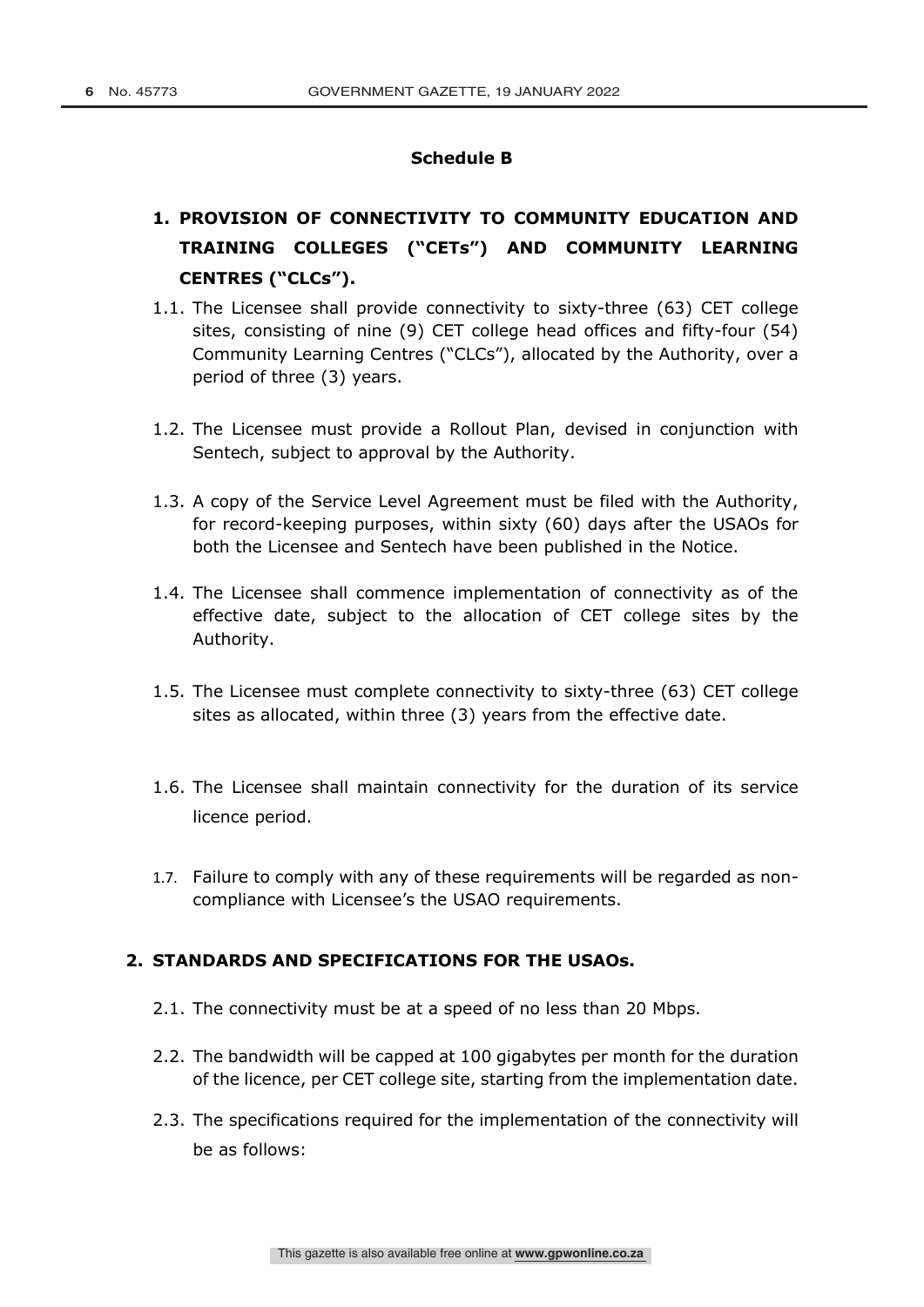#### **Schedule B**

## **1. PROVISION OF CONNECTIVITY TO COMMUNITY EDUCATION AND TRAINING COLLEGES ("CETs") AND COMMUNITY LEARNING CENTRES ("CLCs").**

- 1.1. The Licensee shall provide connectivity to sixty-three (63) CET college sites, consisting of nine (9) CET college head offices and fifty-four (54) Community Learning Centres ("CLCs"), allocated by the Authority, over a period of three (3) years.
- 1.2. The Licensee must provide a Rollout Plan, devised in conjunction with Sentech, subject to approval by the Authority.
- 1.3. A copy of the Service Level Agreement must be filed with the Authority, for record-keeping purposes, within sixty (60) days after the USAOs for both the Licensee and Sentech have been published in the Notice.
- 1.4. The Licensee shall commence implementation of connectivity as of the effective date, subject to the allocation of CET college sites by the Authority.
- 1.5. The Licensee must complete connectivity to sixty-three (63) CET college sites as allocated, within three (3) years from the effective date.
- 1.6. The Licensee shall maintain connectivity for the duration of its service licence period.
- 1.7. Failure to comply with any of these requirements will be regarded as noncompliance with Licensee's the USAO requirements.

### **2. STANDARDS AND SPECIFICATIONS FOR THE USAOs.**

- 2.1. The connectivity must be at a speed of no less than 20 Mbps.
- 2.2. The bandwidth will be capped at 100 gigabytes per month for the duration of the licence, per CET college site, starting from the implementation date.
- 2.3. The specifications required for the implementation of the connectivity will be as follows: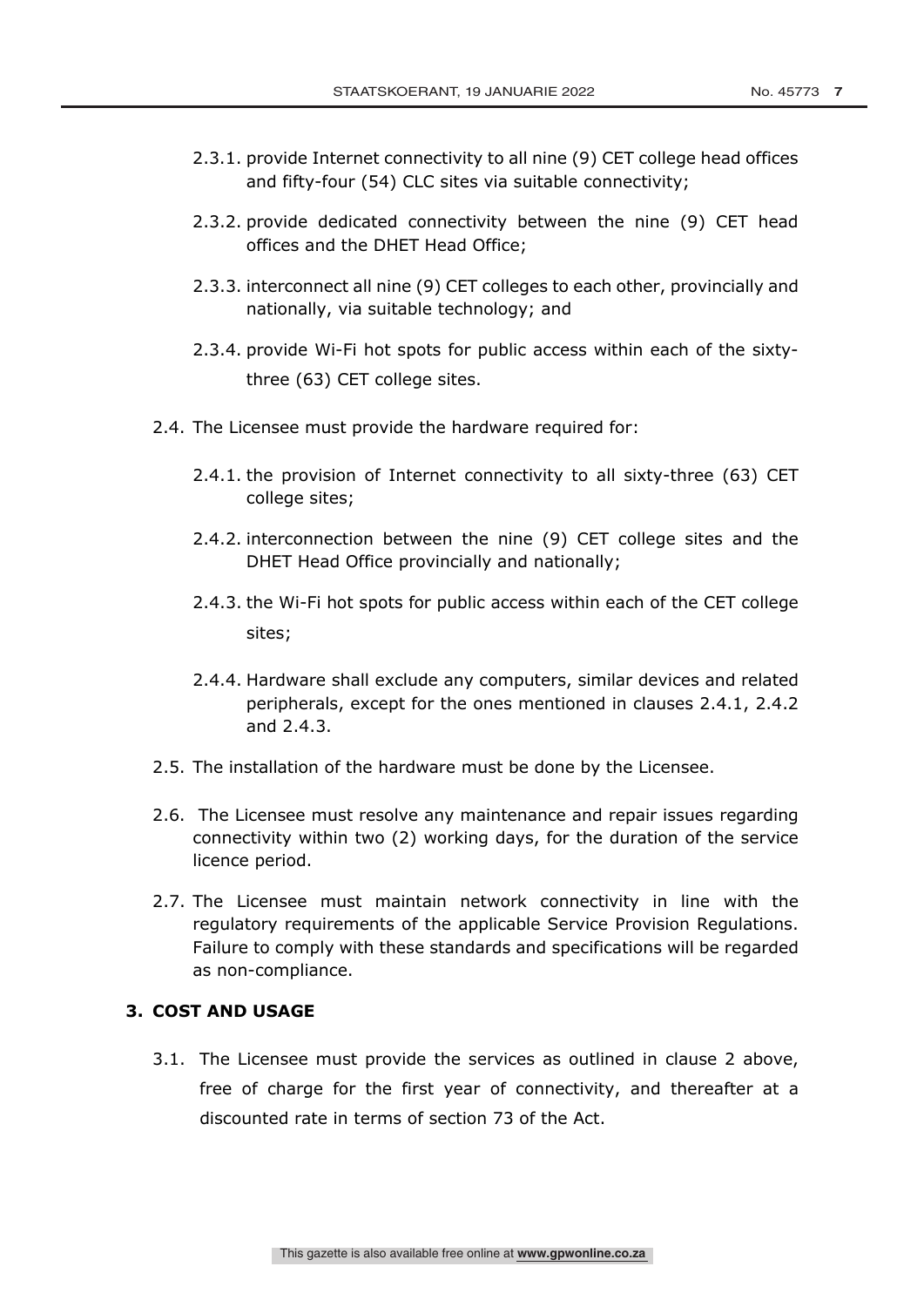- 2.3.1. provide Internet connectivity to all nine (9) CET college head offices and fifty-four (54) CLC sites via suitable connectivity;
- 2.3.2. provide dedicated connectivity between the nine (9) CET head offices and the DHET Head Office;
- 2.3.3. interconnect all nine (9) CET colleges to each other, provincially and nationally, via suitable technology; and
- 2.3.4. provide Wi-Fi hot spots for public access within each of the sixtythree (63) CET college sites.
- 2.4. The Licensee must provide the hardware required for:
	- 2.4.1. the provision of Internet connectivity to all sixty-three (63) CET college sites;
	- 2.4.2. interconnection between the nine (9) CET college sites and the DHET Head Office provincially and nationally;
	- 2.4.3. the Wi-Fi hot spots for public access within each of the CET college sites;
	- 2.4.4. Hardware shall exclude any computers, similar devices and related peripherals, except for the ones mentioned in clauses 2.4.1, 2.4.2 and 2.4.3.
- 2.5. The installation of the hardware must be done by the Licensee.
- 2.6. The Licensee must resolve any maintenance and repair issues regarding connectivity within two (2) working days, for the duration of the service licence period.
- 2.7. The Licensee must maintain network connectivity in line with the regulatory requirements of the applicable Service Provision Regulations. Failure to comply with these standards and specifications will be regarded as non-compliance.

### **3. COST AND USAGE**

3.1. The Licensee must provide the services as outlined in clause 2 above, free of charge for the first year of connectivity, and thereafter at a discounted rate in terms of section 73 of the Act.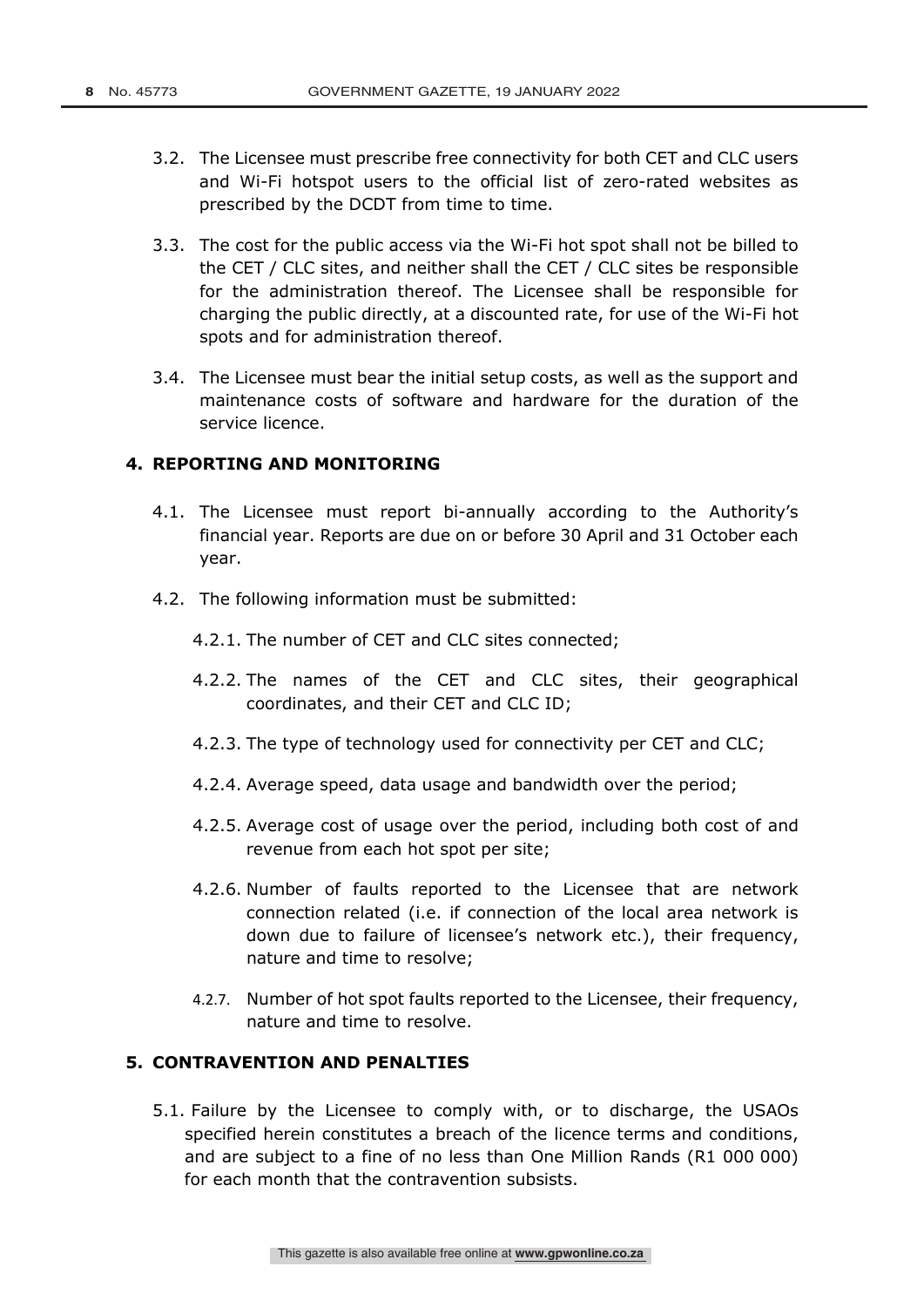- 3.2. The Licensee must prescribe free connectivity for both CET and CLC users and Wi-Fi hotspot users to the official list of zero-rated websites as prescribed by the DCDT from time to time.
- 3.3. The cost for the public access via the Wi-Fi hot spot shall not be billed to the CET / CLC sites, and neither shall the CET / CLC sites be responsible for the administration thereof. The Licensee shall be responsible for charging the public directly, at a discounted rate, for use of the Wi-Fi hot spots and for administration thereof.
- 3.4. The Licensee must bear the initial setup costs, as well as the support and maintenance costs of software and hardware for the duration of the service licence.

#### **4. REPORTING AND MONITORING**

- 4.1. The Licensee must report bi-annually according to the Authority's financial year. Reports are due on or before 30 April and 31 October each year.
- 4.2. The following information must be submitted:

4.2.1. The number of CET and CLC sites connected;

- 4.2.2. The names of the CET and CLC sites, their geographical coordinates, and their CET and CLC ID;
- 4.2.3. The type of technology used for connectivity per CET and CLC;
- 4.2.4. Average speed, data usage and bandwidth over the period;
- 4.2.5. Average cost of usage over the period, including both cost of and revenue from each hot spot per site;
- 4.2.6. Number of faults reported to the Licensee that are network connection related (i.e. if connection of the local area network is down due to failure of licensee's network etc.), their frequency, nature and time to resolve;
- 4.2.7. Number of hot spot faults reported to the Licensee, their frequency, nature and time to resolve.

### **5. CONTRAVENTION AND PENALTIES**

5.1. Failure by the Licensee to comply with, or to discharge, the USAOs specified herein constitutes a breach of the licence terms and conditions, and are subject to a fine of no less than One Million Rands (R1 000 000) for each month that the contravention subsists.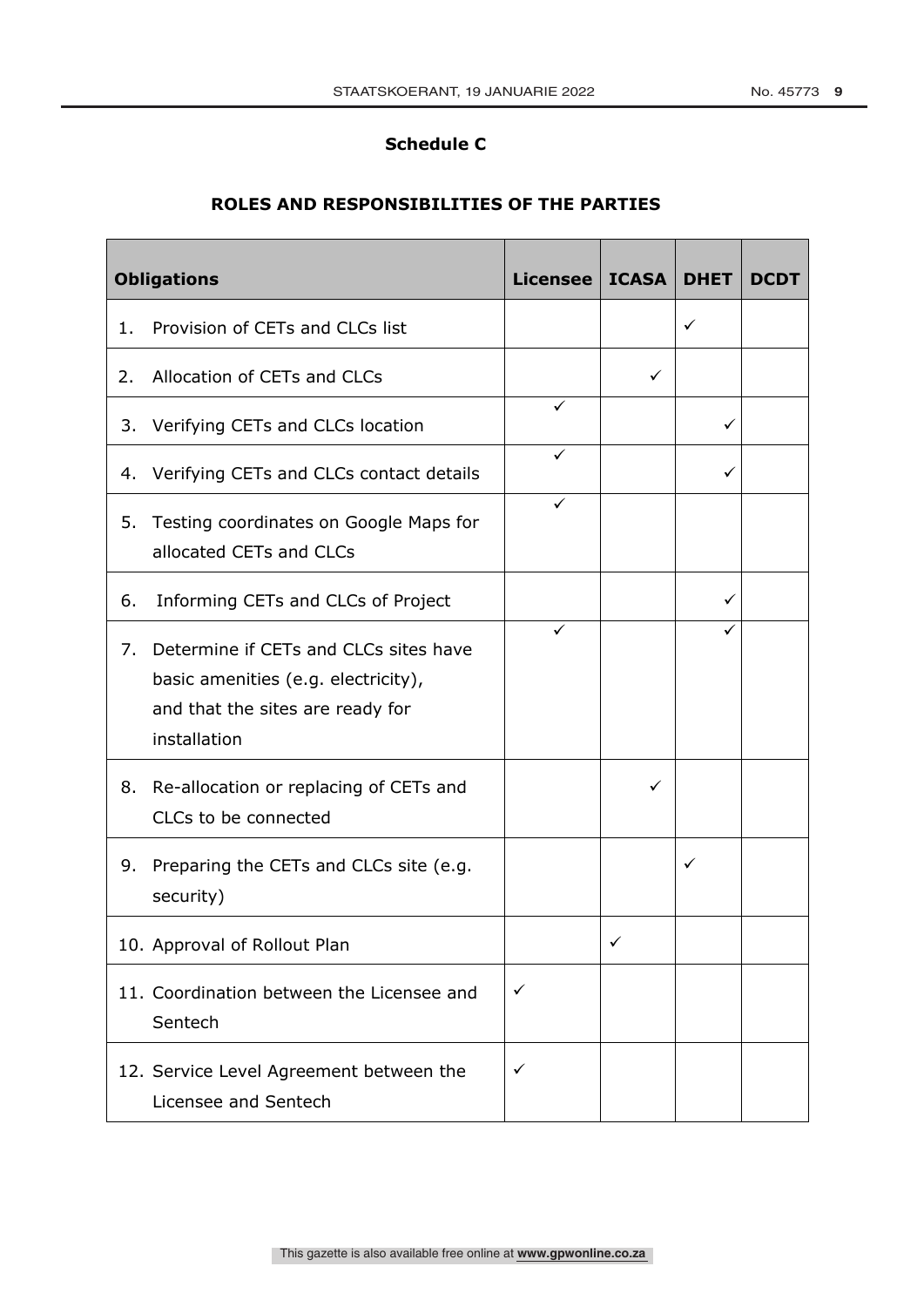#### **Schedule C**

### **ROLES AND RESPONSIBILITIES OF THE PARTIES**

| <b>Obligations</b> |                                                                                                                                  | Licensee   ICASA |              | <b>DHET</b> | <b>DCDT</b> |
|--------------------|----------------------------------------------------------------------------------------------------------------------------------|------------------|--------------|-------------|-------------|
| 1.                 | Provision of CETs and CLCs list                                                                                                  |                  |              | ✓           |             |
| 2.                 | Allocation of CETs and CLCs                                                                                                      |                  | ✓            |             |             |
|                    | 3. Verifying CETs and CLCs location                                                                                              | ✓                |              | ✓           |             |
|                    | 4. Verifying CETs and CLCs contact details                                                                                       | ✓                |              | ✓           |             |
| 5.                 | Testing coordinates on Google Maps for<br>allocated CETs and CLCs                                                                |                  |              |             |             |
| 6.                 | Informing CETs and CLCs of Project                                                                                               |                  |              | ✓           |             |
| 7.                 | Determine if CETs and CLCs sites have<br>basic amenities (e.g. electricity),<br>and that the sites are ready for<br>installation | ✓                |              |             |             |
|                    | 8. Re-allocation or replacing of CETs and<br>CLCs to be connected                                                                |                  | ✓            |             |             |
| 9.                 | Preparing the CETs and CLCs site (e.g.<br>security)                                                                              |                  |              | ✓           |             |
|                    | 10. Approval of Rollout Plan                                                                                                     |                  | $\checkmark$ |             |             |
|                    | 11. Coordination between the Licensee and<br>Sentech                                                                             | $\checkmark$     |              |             |             |
|                    | 12. Service Level Agreement between the<br>Licensee and Sentech                                                                  | ✓                |              |             |             |